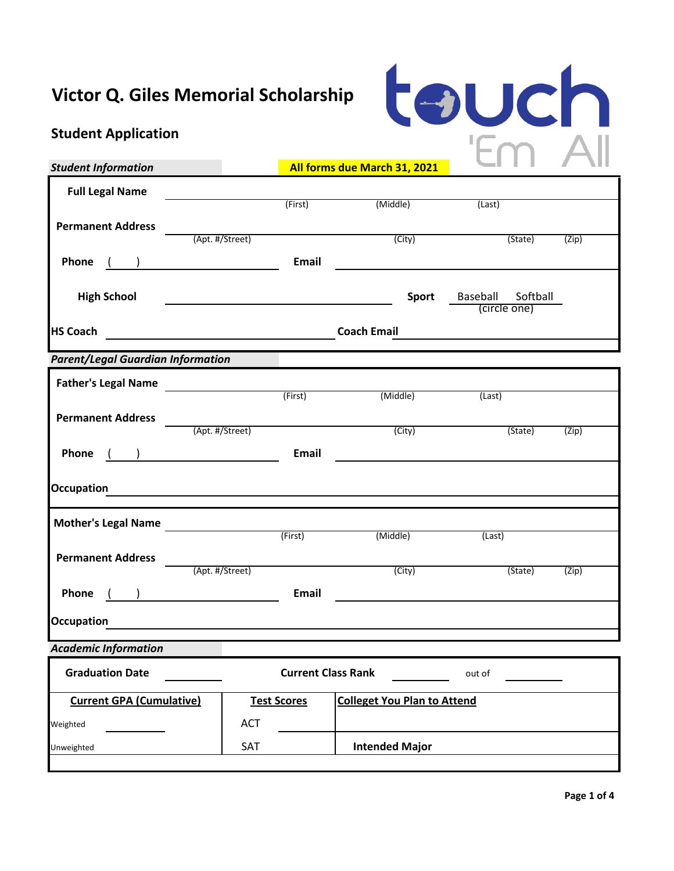# **Victor Q. Giles Memorial Scholarship**

# tauch

# **Student Application**

| <b>Student Information</b>                            |                                                                                                                       | All forms due March 31, 2021       |                                                                                                                        |       |
|-------------------------------------------------------|-----------------------------------------------------------------------------------------------------------------------|------------------------------------|------------------------------------------------------------------------------------------------------------------------|-------|
| <b>Full Legal Name</b>                                |                                                                                                                       |                                    |                                                                                                                        |       |
|                                                       | (First)                                                                                                               | (Middle)                           | (Last)                                                                                                                 |       |
| <b>Permanent Address</b>                              | (Apt. #/Street)                                                                                                       | (City)                             | (State)                                                                                                                | (Zip) |
|                                                       |                                                                                                                       |                                    |                                                                                                                        |       |
| Phone <u>( )</u>                                      | Email                                                                                                                 |                                    | <u> 1989 - Johann Barbara, martxa alemaniar arg</u>                                                                    |       |
| <b>High School</b>                                    |                                                                                                                       | <b>Sport</b>                       | Baseball Softball                                                                                                      |       |
|                                                       |                                                                                                                       |                                    | (circle one)                                                                                                           |       |
| <b>HS Coach</b>                                       |                                                                                                                       |                                    | <u> 1980 - Andrea Albert III, martin a bhaile an t-Iomraidh an t-Iomraidh an t-Iomraidh an t-Iomraidh an t-Iomraid</u> |       |
| <b>Parent/Legal Guardian Information</b>              |                                                                                                                       |                                    |                                                                                                                        |       |
| <b>Father's Legal Name</b>                            |                                                                                                                       |                                    |                                                                                                                        |       |
|                                                       | (First) (Middle)                                                                                                      |                                    | (Last)                                                                                                                 |       |
| <b>Permanent Address</b>                              | (Apt. #/Street)                                                                                                       |                                    |                                                                                                                        |       |
|                                                       |                                                                                                                       | (City)                             | (State)                                                                                                                | (Zip) |
| Phone                                                 | Email                                                                                                                 |                                    |                                                                                                                        |       |
| <b>Occupation</b>                                     |                                                                                                                       |                                    |                                                                                                                        |       |
|                                                       | <u> 1989 - Johann Barn, mars ann an t-Amhain Aonaichte ann an t-Amhain Aonaichte ann an t-Amhain Aonaichte ann an</u> |                                    |                                                                                                                        |       |
| Mother's Legal Name<br>Mother's Legal Name<br>(First) |                                                                                                                       |                                    |                                                                                                                        |       |
|                                                       |                                                                                                                       | (Middle)                           | (Last)                                                                                                                 |       |
| <b>Permanent Address</b><br>(Apt. #/Street)           |                                                                                                                       | (City)                             | (State)                                                                                                                | (Zip) |
|                                                       |                                                                                                                       |                                    |                                                                                                                        |       |
| $\overline{\phantom{a}}$<br>Phone                     | <b>Email</b>                                                                                                          |                                    | <u> 1980 - Jan Stein Stein Stein Stein Stein Stein Stein Stein Stein Stein Stein Stein Stein Stein Stein Stein S</u>   |       |
| <b>Occupation</b>                                     | <u> 1989 - Johann Johann Stone, meil in der Stone (d. 1989)</u>                                                       |                                    |                                                                                                                        |       |
| <b>Academic Information</b>                           |                                                                                                                       |                                    |                                                                                                                        |       |
| <b>Graduation Date</b>                                | <b>Current Class Rank</b>                                                                                             |                                    | out of                                                                                                                 |       |
| <b>Current GPA (Cumulative)</b>                       | <b>Test Scores</b>                                                                                                    | <b>Colleget You Plan to Attend</b> |                                                                                                                        |       |
| Weighted                                              | <b>ACT</b>                                                                                                            |                                    |                                                                                                                        |       |
| Unweighted                                            | SAT                                                                                                                   | <b>Intended Major</b>              |                                                                                                                        |       |
|                                                       |                                                                                                                       |                                    |                                                                                                                        |       |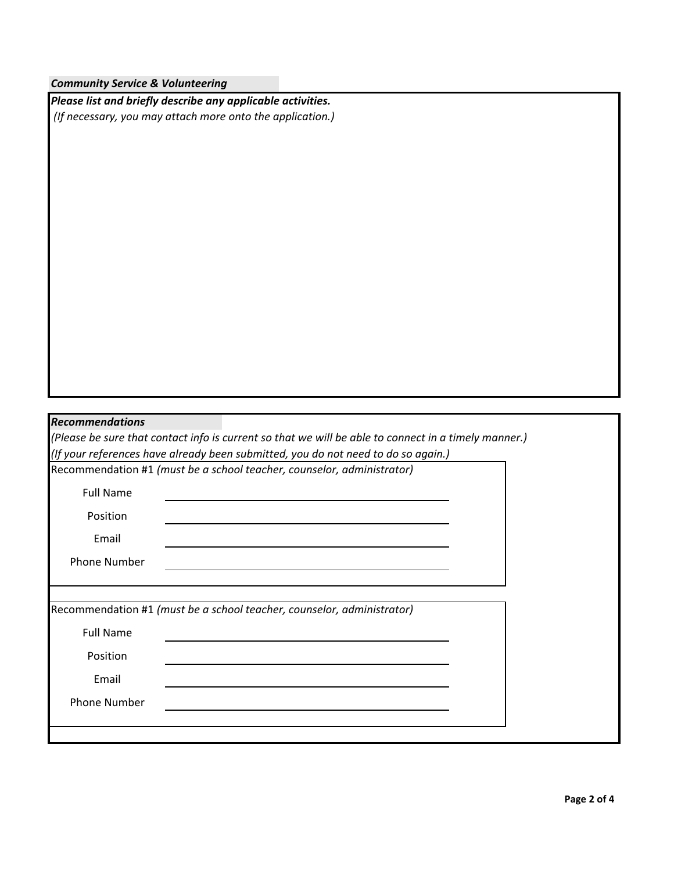|  |  | <b>Community Service &amp; Volunteering</b> |
|--|--|---------------------------------------------|
|--|--|---------------------------------------------|

|                        | Please list and briefly describe any applicable activities.            |                                                                                                      |  |
|------------------------|------------------------------------------------------------------------|------------------------------------------------------------------------------------------------------|--|
|                        | (If necessary, you may attach more onto the application.)              |                                                                                                      |  |
|                        |                                                                        |                                                                                                      |  |
|                        |                                                                        |                                                                                                      |  |
|                        |                                                                        |                                                                                                      |  |
|                        |                                                                        |                                                                                                      |  |
|                        |                                                                        |                                                                                                      |  |
|                        |                                                                        |                                                                                                      |  |
|                        |                                                                        |                                                                                                      |  |
|                        |                                                                        |                                                                                                      |  |
|                        |                                                                        |                                                                                                      |  |
|                        |                                                                        |                                                                                                      |  |
|                        |                                                                        |                                                                                                      |  |
|                        |                                                                        |                                                                                                      |  |
|                        |                                                                        |                                                                                                      |  |
|                        |                                                                        |                                                                                                      |  |
|                        |                                                                        |                                                                                                      |  |
|                        |                                                                        |                                                                                                      |  |
|                        |                                                                        |                                                                                                      |  |
|                        |                                                                        | (Please be sure that contact info is current so that we will be able to connect in a timely manner.) |  |
|                        |                                                                        | (If your references have already been submitted, you do not need to do so again.)                    |  |
| <b>Recommendations</b> | Recommendation #1 (must be a school teacher, counselor, administrator) |                                                                                                      |  |
| <b>Full Name</b>       |                                                                        |                                                                                                      |  |
| Position               |                                                                        |                                                                                                      |  |
|                        |                                                                        |                                                                                                      |  |
| Email                  |                                                                        |                                                                                                      |  |
| <b>Phone Number</b>    |                                                                        |                                                                                                      |  |
|                        |                                                                        |                                                                                                      |  |
|                        | Recommendation #1 (must be a school teacher, counselor, administrator) |                                                                                                      |  |
|                        |                                                                        |                                                                                                      |  |
| <b>Full Name</b>       |                                                                        |                                                                                                      |  |
| Position               |                                                                        |                                                                                                      |  |
| Email                  |                                                                        |                                                                                                      |  |
| <b>Phone Number</b>    |                                                                        |                                                                                                      |  |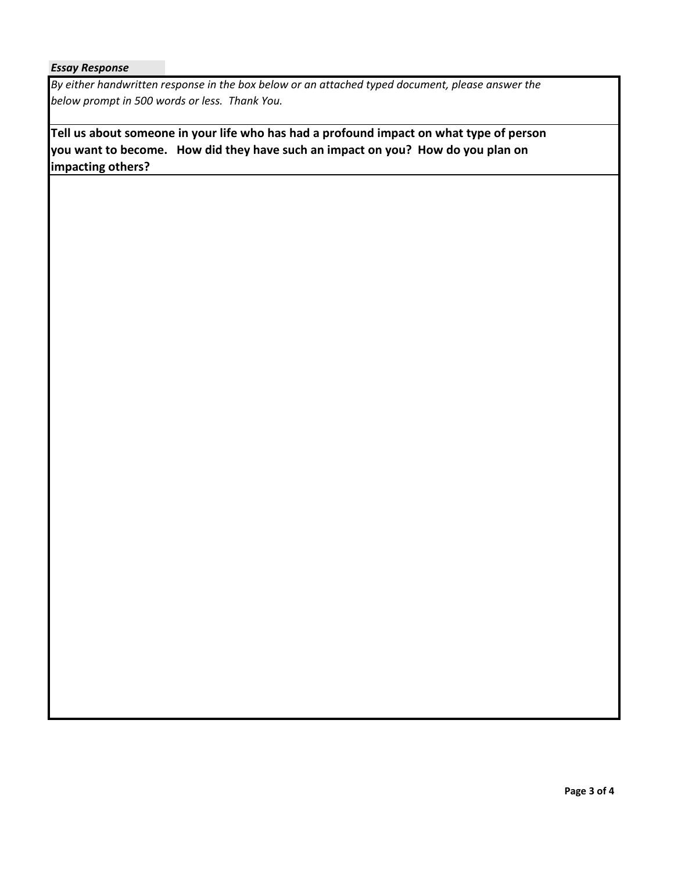#### *Essay Response*

*By either handwritten response in the box below or an attached typed document, please answer the below prompt in 500 words or less. Thank You.*

**Tell us about someone in your life who has had a profound impact on what type of person you want to become. How did they have such an impact on you? How do you plan on impacting others?**